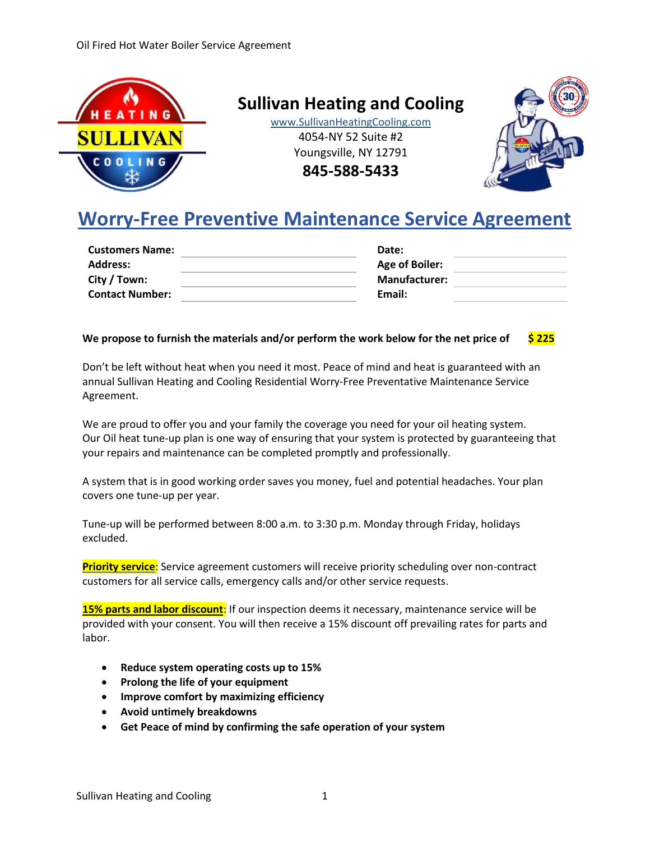

**Sullivan Heating and Cooling**

www.SullivanHeatingCooling.com 4054-NY 52 Suite #2 Youngsville, NY 12791 **845-588-5433**



## **Worry-Free Preventive Maintenance Service Agreement**

| Date:                 |  |
|-----------------------|--|
| <b>Age of Boiler:</b> |  |
| <b>Manufacturer:</b>  |  |
| Email:                |  |
|                       |  |

#### **We propose to furnish the materials and/or perform the work below for the net price of \$ 225**

Don't be left without heat when you need it most. Peace of mind and heat is guaranteed with an annual Sullivan Heating and Cooling Residential Worry-Free Preventative Maintenance Service Agreement.

We are proud to offer you and your family the coverage you need for your oil heating system. Our Oil heat tune-up plan is one way of ensuring that your system is protected by guaranteeing that your repairs and maintenance can be completed promptly and professionally.

A system that is in good working order saves you money, fuel and potential headaches. Your plan covers one tune-up per year.

Tune-up will be performed between 8:00 a.m. to 3:30 p.m. Monday through Friday, holidays excluded.

**Priority service**: Service agreement customers will receive priority scheduling over non-contract customers for all service calls, emergency calls and/or other service requests.

**15% parts and labor discount**: If our inspection deems it necessary, maintenance service will be provided with your consent. You will then receive a 15% discount off prevailing rates for parts and labor.

- **Reduce system operating costs up to 15%**
- **Prolong the life of your equipment**
- **Improve comfort by maximizing efficiency**
- **Avoid untimely breakdowns**
- **Get Peace of mind by confirming the safe operation of your system**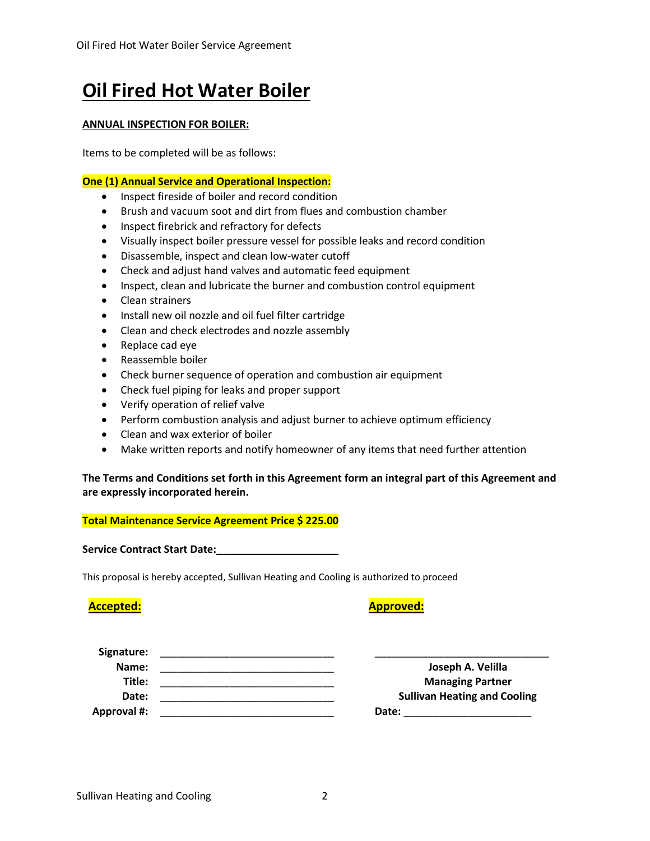# **Oil Fired Hot Water Boiler**

#### **ANNUAL INSPECTION FOR BOILER:**

Items to be completed will be as follows:

#### **One (1) Annual Service and Operational Inspection:**

- Inspect fireside of boiler and record condition
- Brush and vacuum soot and dirt from flues and combustion chamber
- Inspect firebrick and refractory for defects
- Visually inspect boiler pressure vessel for possible leaks and record condition
- Disassemble, inspect and clean low-water cutoff
- Check and adjust hand valves and automatic feed equipment
- Inspect, clean and lubricate the burner and combustion control equipment
- Clean strainers
- Install new oil nozzle and oil fuel filter cartridge
- Clean and check electrodes and nozzle assembly
- Replace cad eye
- Reassemble boiler
- Check burner sequence of operation and combustion air equipment
- Check fuel piping for leaks and proper support
- Verify operation of relief valve
- Perform combustion analysis and adjust burner to achieve optimum efficiency
- Clean and wax exterior of boiler
- Make written reports and notify homeowner of any items that need further attention

#### **The Terms and Conditions set forth in this Agreement form an integral part of this Agreement and are expressly incorporated herein.**

### **Total Maintenance Service Agreement Price \$ 225.00**

**Service Contract Start Date:\_\_\_\_\_\_\_\_\_\_\_\_\_\_\_\_\_\_\_\_\_**

This proposal is hereby accepted, Sullivan Heating and Cooling is authorized to proceed

**Accepted: Approved:**

| Signature:         |                                     |
|--------------------|-------------------------------------|
| Name:              | Joseph A. Velilla                   |
| Title:             | <b>Managing Partner</b>             |
| Date:              | <b>Sullivan Heating and Cooling</b> |
| <b>Approval #:</b> | Date:                               |